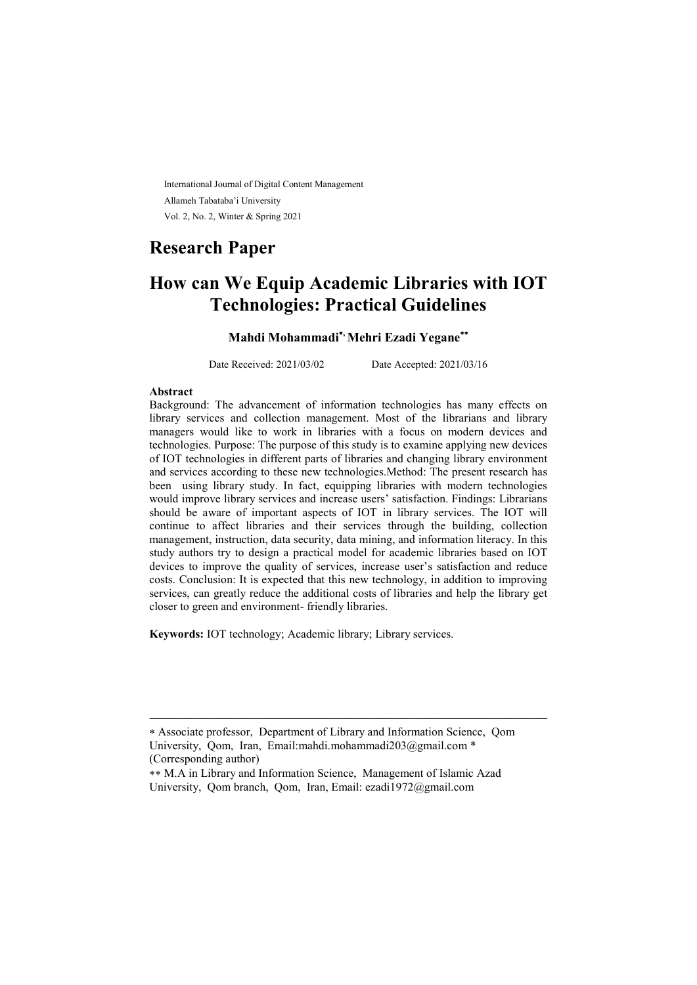International Journal of Digital Content Management Allameh Tabataba'i University Vol. 2, No. 2, Winter & Spring 2021

## Research Paper

# How can We Equip Academic Libraries with IOT Technologies: Practical Guidelines

### Mahdi Mohammadi\*<sup>,</sup> Mehri Ezadi Yegane\*\*

Date Received: 2021/03/02 Date Accepted: 2021/03/16

#### Abstract

Background: The advancement of information technologies has many effects on library services and collection management. Most of the librarians and library managers would like to work in libraries with a focus on modern devices and technologies. Purpose: The purpose of this study is to examine applying new devices of IOT technologies in different parts of libraries and changing library environment and services according to these new technologies.Method: The present research has been using library study. In fact, equipping libraries with modern technologies would improve library services and increase users' satisfaction. Findings: Librarians should be aware of important aspects of IOT in library services. The IOT will continue to affect libraries and their services through the building, collection management, instruction, data security, data mining, and information literacy. In this study authors try to design a practical model for academic libraries based on IOT devices to improve the quality of services, increase user's satisfaction and reduce costs. Conclusion: It is expected that this new technology, in addition to improving services, can greatly reduce the additional costs of libraries and help the library get closer to green and environment- friendly libraries.

Keywords: IOT technology; Academic library; Library services.

ـــــــــــــــــــــــــــــــــــــــــــــــــــــــــــــــــــــــــــــــــــــــــــــــــــــــــــــــــــــــــــــ

Associate professor, Department of Library and Information Science, Qom University, Qom, Iran, Email:mahdi.mohammadi203@gmail.com \* (Corresponding author)

M.A in Library and Information Science, Management of Islamic Azad University, Qom branch, Qom, Iran, Email: ezadi1972@gmail.com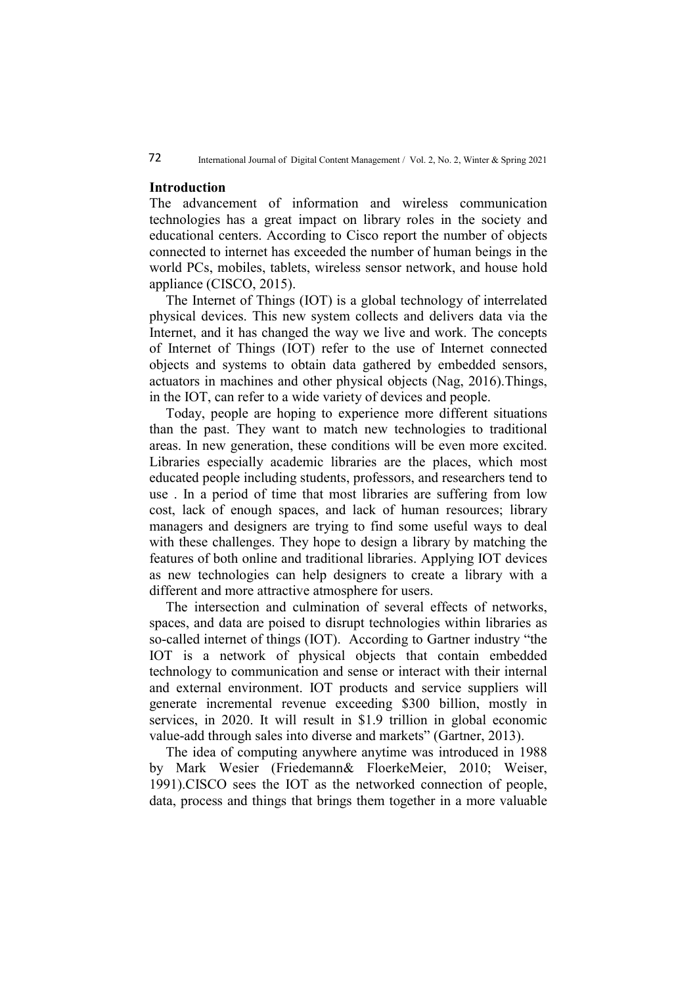#### Introduction

The advancement of information and wireless communication technologies has a great impact on library roles in the society and educational centers. According to Cisco report the number of objects connected to internet has exceeded the number of human beings in the world PCs, mobiles, tablets, wireless sensor network, and house hold appliance (CISCO, 2015).

The Internet of Things (IOT) is a global technology of interrelated physical devices. This new system collects and delivers data via the Internet, and it has changed the way we live and work. The concepts of Internet of Things (IOT) refer to the use of Internet connected objects and systems to obtain data gathered by embedded sensors, actuators in machines and other physical objects (Nag, 2016).Things, in the IOT, can refer to a wide variety of devices and people.

Today, people are hoping to experience more different situations than the past. They want to match new technologies to traditional areas. In new generation, these conditions will be even more excited. Libraries especially academic libraries are the places, which most educated people including students, professors, and researchers tend to use . In a period of time that most libraries are suffering from low cost, lack of enough spaces, and lack of human resources; library managers and designers are trying to find some useful ways to deal with these challenges. They hope to design a library by matching the features of both online and traditional libraries. Applying IOT devices as new technologies can help designers to create a library with a different and more attractive atmosphere for users.

The intersection and culmination of several effects of networks, spaces, and data are poised to disrupt technologies within libraries as so-called internet of things (IOT). According to Gartner industry "the IOT is a network of physical objects that contain embedded technology to communication and sense or interact with their internal and external environment. IOT products and service suppliers will generate incremental revenue exceeding \$300 billion, mostly in services, in 2020. It will result in \$1.9 trillion in global economic value-add through sales into diverse and markets" (Gartner, 2013).

The idea of computing anywhere anytime was introduced in 1988 by Mark Wesier (Friedemann& FloerkeMeier, 2010; Weiser, 1991).CISCO sees the IOT as the networked connection of people, data, process and things that brings them together in a more valuable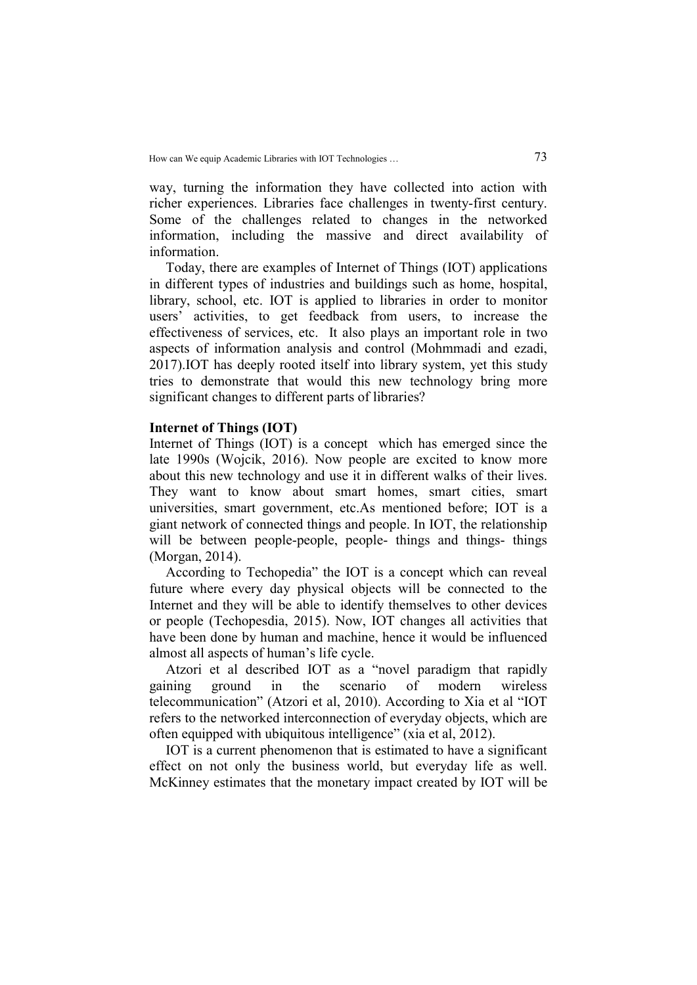way, turning the information they have collected into action with richer experiences. Libraries face challenges in twenty-first century. Some of the challenges related to changes in the networked information, including the massive and direct availability of information.

Today, there are examples of Internet of Things (IOT) applications in different types of industries and buildings such as home, hospital, library, school, etc. IOT is applied to libraries in order to monitor users' activities, to get feedback from users, to increase the effectiveness of services, etc. It also plays an important role in two aspects of information analysis and control (Mohmmadi and ezadi, 2017).IOT has deeply rooted itself into library system, yet this study tries to demonstrate that would this new technology bring more significant changes to different parts of libraries?

#### Internet of Things (IOT)

Internet of Things (IOT) is a concept which has emerged since the late 1990s (Wojcik, 2016). Now people are excited to know more about this new technology and use it in different walks of their lives. They want to know about smart homes, smart cities, smart universities, smart government, etc.As mentioned before; IOT is a giant network of connected things and people. In IOT, the relationship will be between people-people, people- things and things- things (Morgan, 2014).

According to Techopedia" the IOT is a concept which can reveal future where every day physical objects will be connected to the Internet and they will be able to identify themselves to other devices or people (Techopesdia, 2015). Now, IOT changes all activities that have been done by human and machine, hence it would be influenced almost all aspects of human's life cycle.

Atzori et al described IOT as a "novel paradigm that rapidly gaining ground in the scenario of modern wireless telecommunication" (Atzori et al, 2010). According to Xia et al "IOT refers to the networked interconnection of everyday objects, which are often equipped with ubiquitous intelligence" (xia et al, 2012).

IOT is a current phenomenon that is estimated to have a significant effect on not only the business world, but everyday life as well. McKinney estimates that the monetary impact created by IOT will be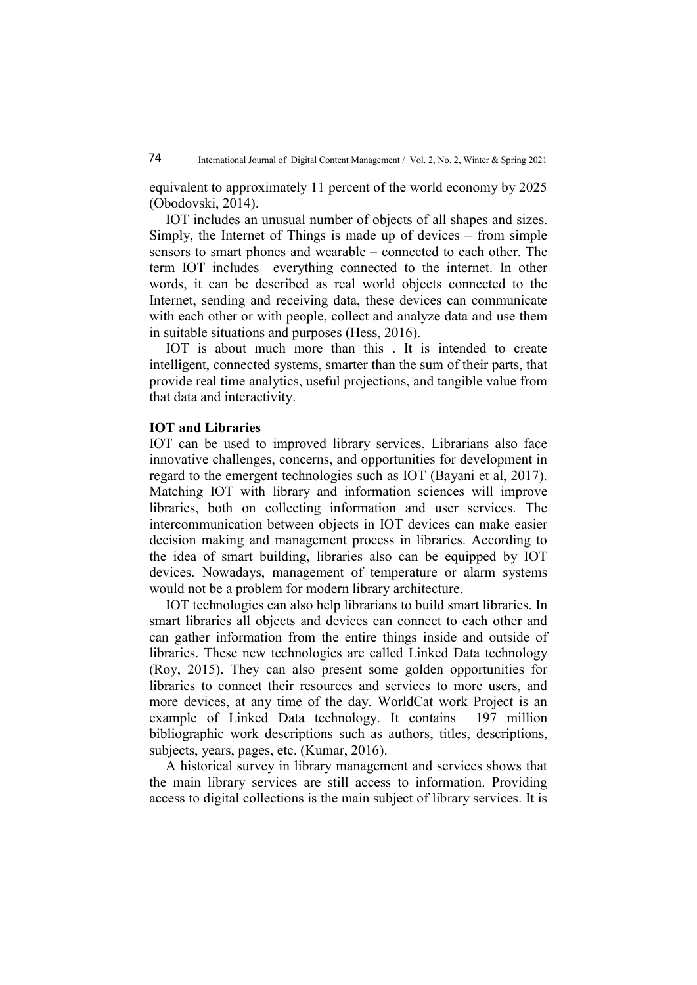equivalent to approximately 11 percent of the world economy by 2025 (Obodovski, 2014).

IOT includes an unusual number of objects of all shapes and sizes. Simply, the Internet of Things is made up of devices – from simple sensors to smart phones and wearable – connected to each other. The term IOT includes everything connected to the internet. In other words, it can be described as real world objects connected to the Internet, sending and receiving data, these devices can communicate with each other or with people, collect and analyze data and use them in suitable situations and purposes (Hess, 2016).

IOT is about much more than this . It is intended to create intelligent, connected systems, smarter than the sum of their parts, that provide real time analytics, useful projections, and tangible value from that data and interactivity.

#### IOT and Libraries

IOT can be used to improved library services. Librarians also face innovative challenges, concerns, and opportunities for development in regard to the emergent technologies such as IOT (Bayani et al, 2017). Matching IOT with library and information sciences will improve libraries, both on collecting information and user services. The intercommunication between objects in IOT devices can make easier decision making and management process in libraries. According to the idea of smart building, libraries also can be equipped by IOT devices. Nowadays, management of temperature or alarm systems would not be a problem for modern library architecture.

IOT technologies can also help librarians to build smart libraries. In smart libraries all objects and devices can connect to each other and can gather information from the entire things inside and outside of libraries. These new technologies are called Linked Data technology (Roy, 2015). They can also present some golden opportunities for libraries to connect their resources and services to more users, and more devices, at any time of the day. WorldCat work Project is an example of Linked Data technology. It contains 197 million bibliographic work descriptions such as authors, titles, descriptions, subjects, years, pages, etc. (Kumar, 2016).

A historical survey in library management and services shows that the main library services are still access to information. Providing access to digital collections is the main subject of library services. It is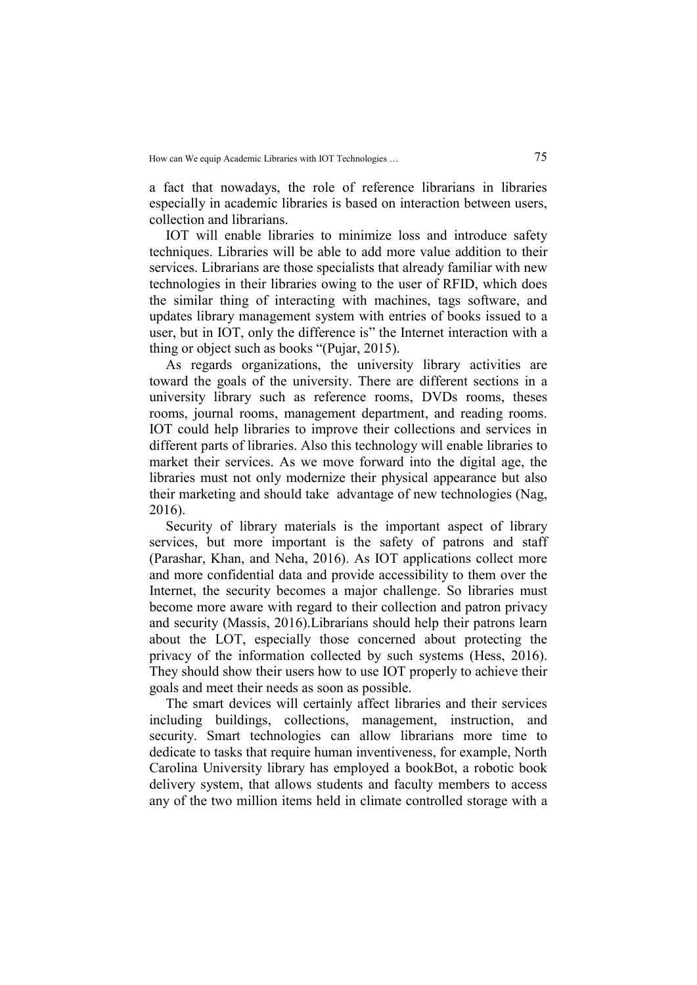a fact that nowadays, the role of reference librarians in libraries especially in academic libraries is based on interaction between users, collection and librarians.

IOT will enable libraries to minimize loss and introduce safety techniques. Libraries will be able to add more value addition to their services. Librarians are those specialists that already familiar with new technologies in their libraries owing to the user of RFID, which does the similar thing of interacting with machines, tags software, and updates library management system with entries of books issued to a user, but in IOT, only the difference is" the Internet interaction with a thing or object such as books "(Pujar, 2015).

As regards organizations, the university library activities are toward the goals of the university. There are different sections in a university library such as reference rooms, DVDs rooms, theses rooms, journal rooms, management department, and reading rooms. IOT could help libraries to improve their collections and services in different parts of libraries. Also this technology will enable libraries to market their services. As we move forward into the digital age, the libraries must not only modernize their physical appearance but also their marketing and should take advantage of new technologies (Nag, 2016).

Security of library materials is the important aspect of library services, but more important is the safety of patrons and staff (Parashar, Khan, and Neha, 2016). As IOT applications collect more and more confidential data and provide accessibility to them over the Internet, the security becomes a major challenge. So libraries must become more aware with regard to their collection and patron privacy and security (Massis, 2016).Librarians should help their patrons learn about the LOT, especially those concerned about protecting the privacy of the information collected by such systems (Hess, 2016). They should show their users how to use IOT properly to achieve their goals and meet their needs as soon as possible.

The smart devices will certainly affect libraries and their services including buildings, collections, management, instruction, and security. Smart technologies can allow librarians more time to dedicate to tasks that require human inventiveness, for example, North Carolina University library has employed a bookBot, a robotic book delivery system, that allows students and faculty members to access any of the two million items held in climate controlled storage with a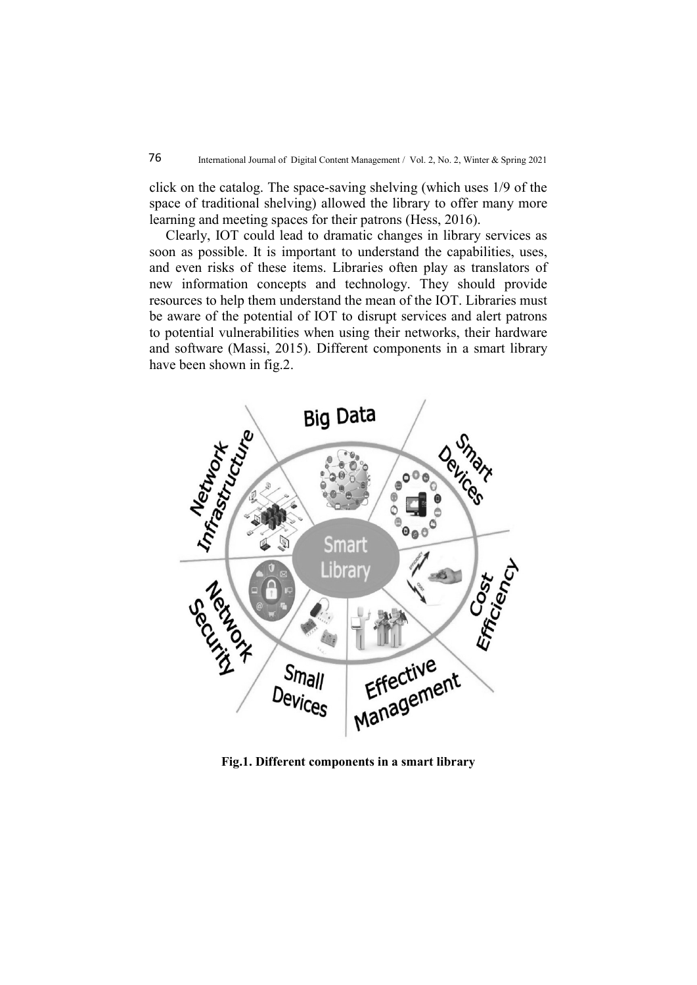click on the catalog. The space-saving shelving (which uses 1/9 of the space of traditional shelving) allowed the library to offer many more learning and meeting spaces for their patrons (Hess, 2016).

Clearly, IOT could lead to dramatic changes in library services as soon as possible. It is important to understand the capabilities, uses, and even risks of these items. Libraries often play as translators of new information concepts and technology. They should provide resources to help them understand the mean of the IOT. Libraries must be aware of the potential of IOT to disrupt services and alert patrons to potential vulnerabilities when using their networks, their hardware and software (Massi, 2015). Different components in a smart library have been shown in fig.2.



Fig.1. Different components in a smart library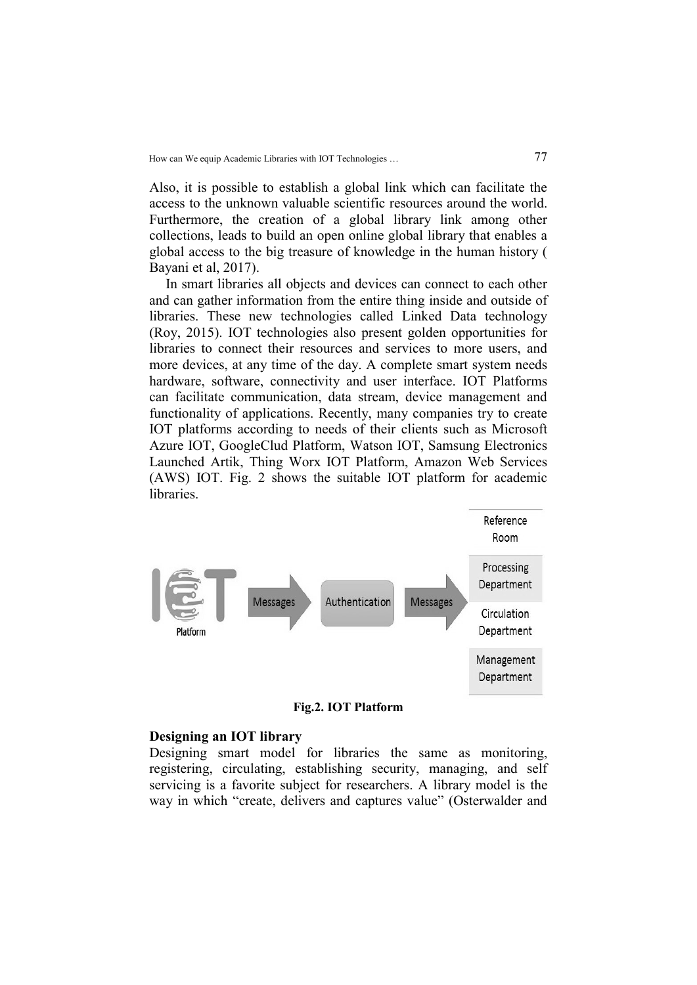Also, it is possible to establish a global link which can facilitate the access to the unknown valuable scientific resources around the world. Furthermore, the creation of a global library link among other collections, leads to build an open online global library that enables a global access to the big treasure of knowledge in the human history ( Bayani et al, 2017).

In smart libraries all objects and devices can connect to each other and can gather information from the entire thing inside and outside of libraries. These new technologies called Linked Data technology (Roy, 2015). IOT technologies also present golden opportunities for libraries to connect their resources and services to more users, and more devices, at any time of the day. A complete smart system needs hardware, software, connectivity and user interface. IOT Platforms can facilitate communication, data stream, device management and functionality of applications. Recently, many companies try to create IOT platforms according to needs of their clients such as Microsoft Azure IOT, GoogleClud Platform, Watson IOT, Samsung Electronics Launched Artik, Thing Worx IOT Platform, Amazon Web Services (AWS) IOT. Fig. 2 shows the suitable IOT platform for academic libraries.



Fig.2. IOT Platform

#### Designing an IOT library

Designing smart model for libraries the same as monitoring, registering, circulating, establishing security, managing, and self servicing is a favorite subject for researchers. A library model is the way in which "create, delivers and captures value" (Osterwalder and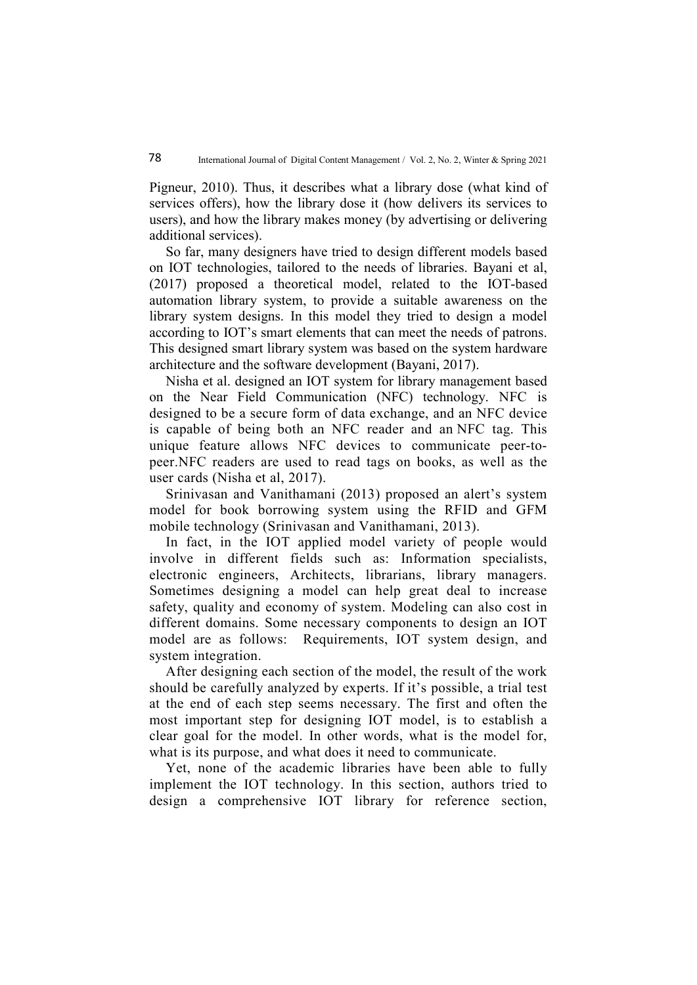Pigneur, 2010). Thus, it describes what a library dose (what kind of services offers), how the library dose it (how delivers its services to users), and how the library makes money (by advertising or delivering additional services).

So far, many designers have tried to design different models based on IOT technologies, tailored to the needs of libraries. Bayani et al, (2017) proposed a theoretical model, related to the IOT-based automation library system, to provide a suitable awareness on the library system designs. In this model they tried to design a model according to IOT's smart elements that can meet the needs of patrons. This designed smart library system was based on the system hardware architecture and the software development (Bayani, 2017).

Nisha et al. designed an IOT system for library management based on the Near Field Communication (NFC) technology. NFC is designed to be a secure form of data exchange, and an NFC device is capable of being both an NFC reader and an NFC tag. This unique feature allows NFC devices to communicate peer-topeer.NFC readers are used to read tags on books, as well as the user cards (Nisha et al, 2017).

Srinivasan and Vanithamani (2013) proposed an alert's system model for book borrowing system using the RFID and GFM mobile technology (Srinivasan and Vanithamani, 2013).

In fact, in the IOT applied model variety of people would involve in different fields such as: Information specialists, electronic engineers, Architects, librarians, library managers. Sometimes designing a model can help great deal to increase safety, quality and economy of system. Modeling can also cost in different domains. Some necessary components to design an IOT model are as follows: Requirements, IOT system design, and system integration.

After designing each section of the model, the result of the work should be carefully analyzed by experts. If it's possible, a trial test at the end of each step seems necessary. The first and often the most important step for designing IOT model, is to establish a clear goal for the model. In other words, what is the model for, what is its purpose, and what does it need to communicate.

Yet, none of the academic libraries have been able to fully implement the IOT technology. In this section, authors tried to design a comprehensive IOT library for reference section,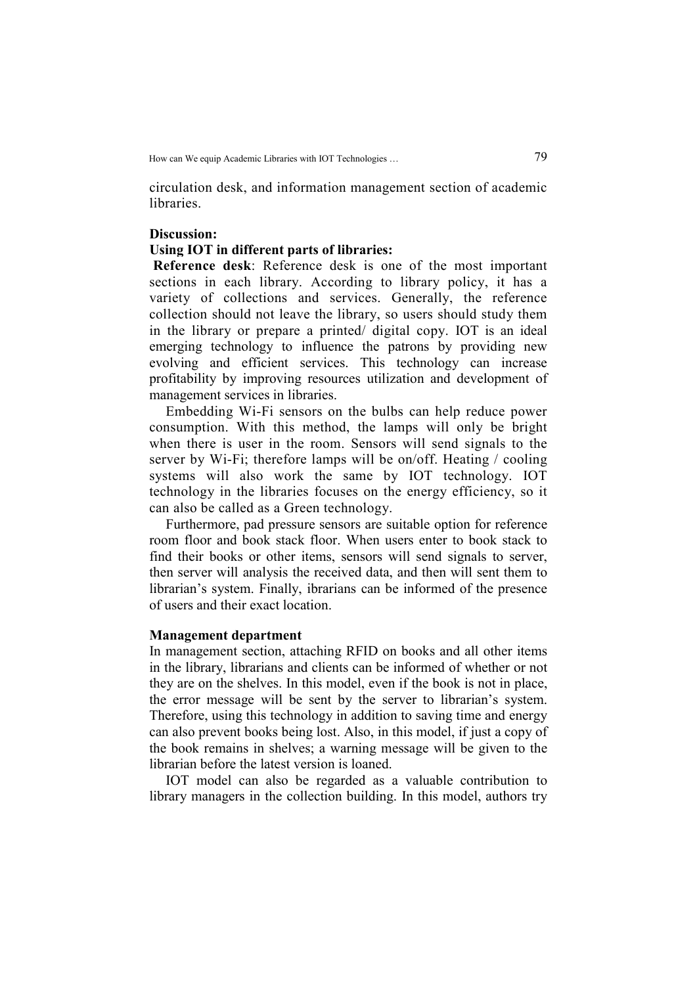How can We equip Academic Libraries with IOT Technologies ... 79

circulation desk, and information management section of academic libraries.

#### Discussion:

#### Using IOT in different parts of libraries:

Reference desk: Reference desk is one of the most important sections in each library. According to library policy, it has a variety of collections and services. Generally, the reference collection should not leave the library, so users should study them in the library or prepare a printed/ digital copy. IOT is an ideal emerging technology to influence the patrons by providing new evolving and efficient services. This technology can increase profitability by improving resources utilization and development of management services in libraries.

Embedding Wi-Fi sensors on the bulbs can help reduce power consumption. With this method, the lamps will only be bright when there is user in the room. Sensors will send signals to the server by Wi-Fi; therefore lamps will be on/off. Heating / cooling systems will also work the same by IOT technology. IOT technology in the libraries focuses on the energy efficiency, so it can also be called as a Green technology.

Furthermore, pad pressure sensors are suitable option for reference room floor and book stack floor. When users enter to book stack to find their books or other items, sensors will send signals to server, then server will analysis the received data, and then will sent them to librarian's system. Finally, ibrarians can be informed of the presence of users and their exact location.

#### Management department

In management section, attaching RFID on books and all other items in the library, librarians and clients can be informed of whether or not they are on the shelves. In this model, even if the book is not in place, the error message will be sent by the server to librarian's system. Therefore, using this technology in addition to saving time and energy can also prevent books being lost. Also, in this model, if just a copy of the book remains in shelves; a warning message will be given to the librarian before the latest version is loaned.

IOT model can also be regarded as a valuable contribution to library managers in the collection building. In this model, authors try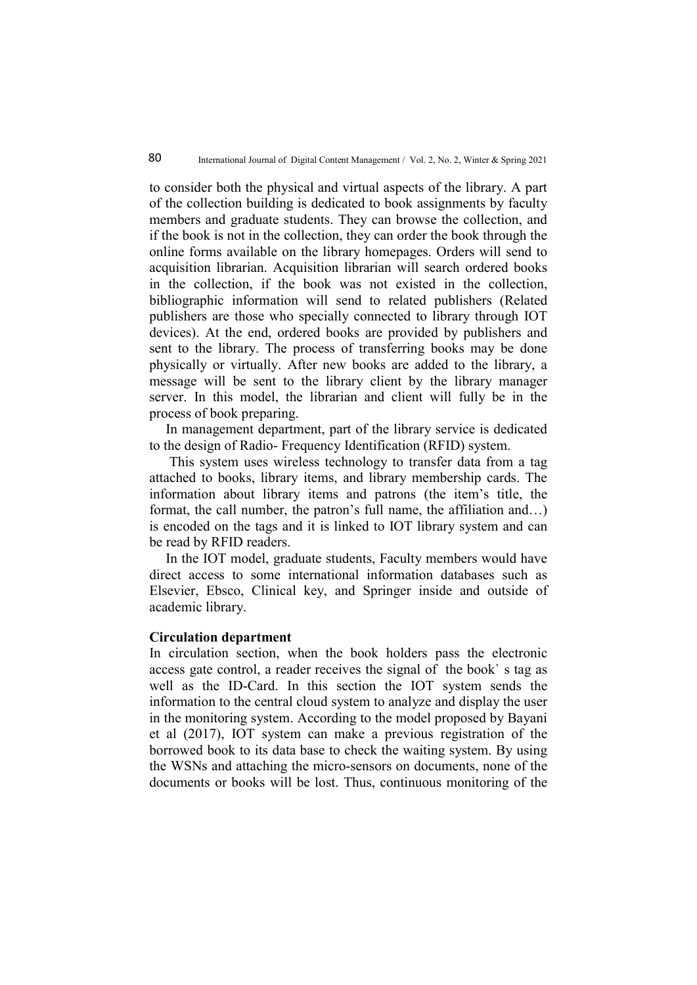to consider both the physical and virtual aspects of the library. A part of the collection building is dedicated to book assignments by faculty members and graduate students. They can browse the collection, and if the book is not in the collection, they can order the book through the online forms available on the library homepages. Orders will send to acquisition librarian. Acquisition librarian will search ordered books in the collection, if the book was not existed in the collection, bibliographic information will send to related publishers (Related publishers are those who specially connected to library through IOT devices). At the end, ordered books are provided by publishers and sent to the library. The process of transferring books may be done physically or virtually. After new books are added to the library, a message will be sent to the library client by the library manager server. In this model, the librarian and client will fully be in the process of book preparing.

In management department, part of the library service is dedicated to the design of Radio- Frequency Identification (RFID) system.

 This system uses wireless technology to transfer data from a tag attached to books, library items, and library membership cards. The information about library items and patrons (the item's title, the format, the call number, the patron's full name, the affiliation and…) is encoded on the tags and it is linked to IOT library system and can be read by RFID readers.

In the IOT model, graduate students, Faculty members would have direct access to some international information databases such as Elsevier, Ebsco, Clinical key, and Springer inside and outside of academic library.

#### Circulation department

In circulation section, when the book holders pass the electronic access gate control, a reader receives the signal of the book` s tag as well as the ID-Card. In this section the IOT system sends the information to the central cloud system to analyze and display the user in the monitoring system. According to the model proposed by Bayani et al (2017), IOT system can make a previous registration of the borrowed book to its data base to check the waiting system. By using the WSNs and attaching the micro-sensors on documents, none of the documents or books will be lost. Thus, continuous monitoring of the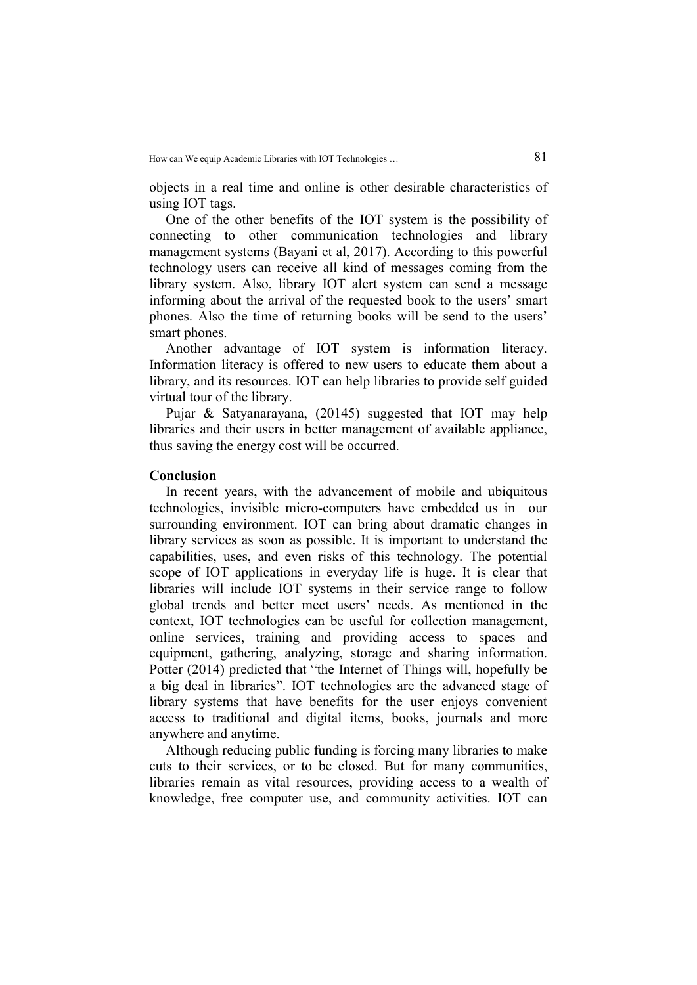objects in a real time and online is other desirable characteristics of using IOT tags.

One of the other benefits of the IOT system is the possibility of connecting to other communication technologies and library management systems (Bayani et al, 2017). According to this powerful technology users can receive all kind of messages coming from the library system. Also, library IOT alert system can send a message informing about the arrival of the requested book to the users' smart phones. Also the time of returning books will be send to the users' smart phones.

Another advantage of IOT system is information literacy. Information literacy is offered to new users to educate them about a library, and its resources. IOT can help libraries to provide self guided virtual tour of the library.

Pujar & Satyanarayana, (20145) suggested that IOT may help libraries and their users in better management of available appliance, thus saving the energy cost will be occurred.

#### Conclusion

In recent years, with the advancement of mobile and ubiquitous technologies, invisible micro-computers have embedded us in our surrounding environment. IOT can bring about dramatic changes in library services as soon as possible. It is important to understand the capabilities, uses, and even risks of this technology. The potential scope of IOT applications in everyday life is huge. It is clear that libraries will include IOT systems in their service range to follow global trends and better meet users' needs. As mentioned in the context, IOT technologies can be useful for collection management, online services, training and providing access to spaces and equipment, gathering, analyzing, storage and sharing information. Potter (2014) predicted that "the Internet of Things will, hopefully be a big deal in libraries". IOT technologies are the advanced stage of library systems that have benefits for the user enjoys convenient access to traditional and digital items, books, journals and more anywhere and anytime.

Although reducing public funding is forcing many libraries to make cuts to their services, or to be closed. But for many communities, libraries remain as vital resources, providing access to a wealth of knowledge, free computer use, and community activities. IOT can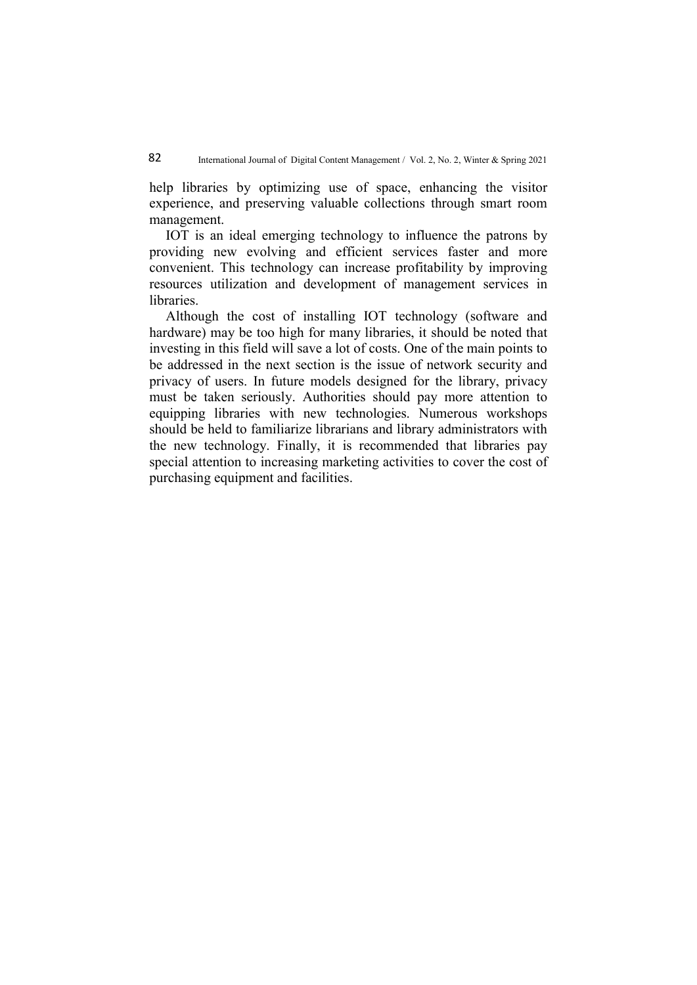help libraries by optimizing use of space, enhancing the visitor experience, and preserving valuable collections through smart room management.

IOT is an ideal emerging technology to influence the patrons by providing new evolving and efficient services faster and more convenient. This technology can increase profitability by improving resources utilization and development of management services in **libraries** 

Although the cost of installing IOT technology (software and hardware) may be too high for many libraries, it should be noted that investing in this field will save a lot of costs. One of the main points to be addressed in the next section is the issue of network security and privacy of users. In future models designed for the library, privacy must be taken seriously. Authorities should pay more attention to equipping libraries with new technologies. Numerous workshops should be held to familiarize librarians and library administrators with the new technology. Finally, it is recommended that libraries pay special attention to increasing marketing activities to cover the cost of purchasing equipment and facilities.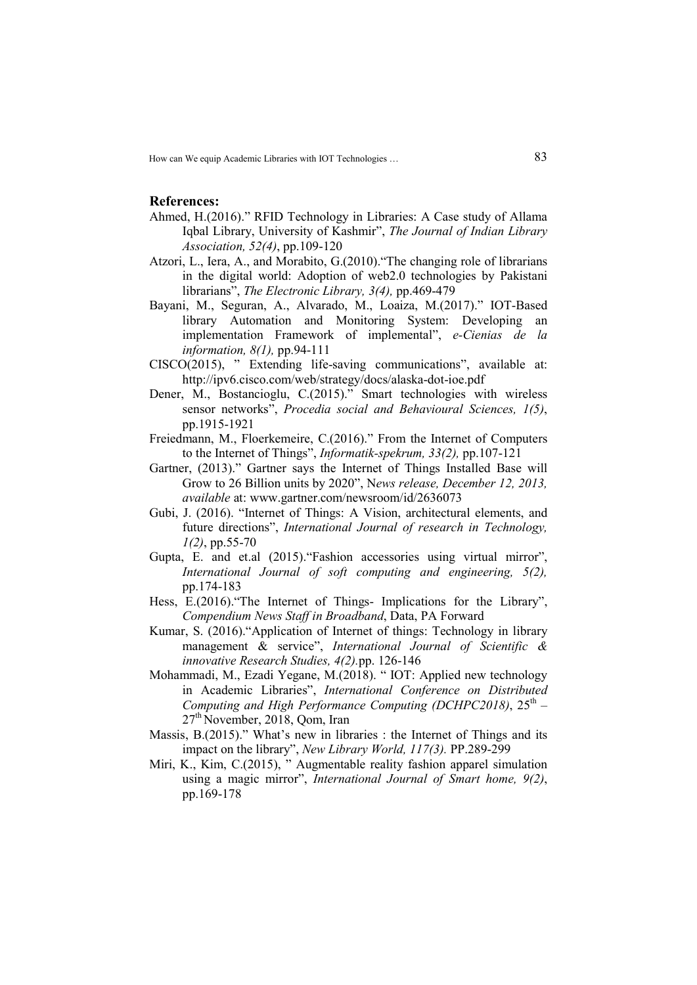How can We equip Academic Libraries with IOT Technologies ... 83

#### References:

- Ahmed, H.(2016)." RFID Technology in Libraries: A Case study of Allama Iqbal Library, University of Kashmir", The Journal of Indian Library Association, 52(4), pp.109-120
- Atzori, L., Iera, A., and Morabito, G.(2010)."The changing role of librarians in the digital world: Adoption of web2.0 technologies by Pakistani librarians", The Electronic Library, 3(4), pp.469-479
- Bayani, M., Seguran, A., Alvarado, M., Loaiza, M.(2017)." IOT-Based library Automation and Monitoring System: Developing an implementation Framework of implemental", e-Cienias de la information,  $8(1)$ , pp.94-111
- CISCO(2015), " Extending life-saving communications", available at: http://ipv6.cisco.com/web/strategy/docs/alaska-dot-ioe.pdf
- Dener, M., Bostancioglu, C.(2015)." Smart technologies with wireless sensor networks", Procedia social and Behavioural Sciences, 1(5), pp.1915-1921
- Freiedmann, M., Floerkemeire, C.(2016)." From the Internet of Computers to the Internet of Things", Informatik-spekrum, 33(2), pp.107-121
- Gartner, (2013)." Gartner says the Internet of Things Installed Base will Grow to 26 Billion units by 2020", News release, December 12, 2013, available at: www.gartner.com/newsroom/id/2636073
- Gubi, J. (2016). "Internet of Things: A Vision, architectural elements, and future directions", International Journal of research in Technology,  $1(2)$ , pp.55-70
- Gupta, E. and et.al (2015)."Fashion accessories using virtual mirror", International Journal of soft computing and engineering, 5(2), pp.174-183
- Hess, E.(2016)."The Internet of Things- Implications for the Library", Compendium News Staff in Broadband, Data, PA Forward
- Kumar, S. (2016)."Application of Internet of things: Technology in library management & service", International Journal of Scientific & innovative Research Studies, 4(2).pp. 126-146
- Mohammadi, M., Ezadi Yegane, M.(2018). " IOT: Applied new technology in Academic Libraries", International Conference on Distributed Computing and High Performance Computing (DCHPC2018),  $25<sup>th</sup>$  -27th November, 2018, Qom, Iran
- Massis, B.(2015)." What's new in libraries : the Internet of Things and its impact on the library", New Library World, 117(3). PP.289-299
- Miri, K., Kim, C.(2015), " Augmentable reality fashion apparel simulation using a magic mirror", International Journal of Smart home, 9(2), pp.169-178